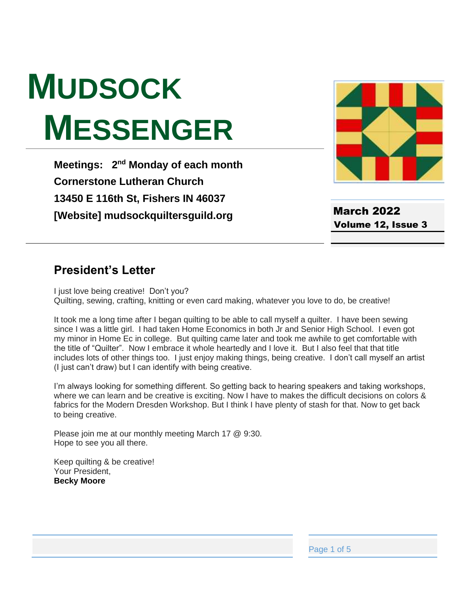# **MUDSOCK MESSENGER**

**Meetings: 2<sup>nd</sup> Monday of each month Cornerstone Lutheran Church 13450 E 116th St, Fishers IN 46037 [Website] mudsockquiltersguild.org**



March 2022 Volume 12, Issue 3

#### **President's Letter**

I just love being creative! Don't you? Quilting, sewing, crafting, knitting or even card making, whatever you love to do, be creative!

It took me a long time after I began quilting to be able to call myself a quilter. I have been sewing since I was a little girl. I had taken Home Economics in both Jr and Senior High School. I even got my minor in Home Ec in college. But quilting came later and took me awhile to get comfortable with the title of "Quilter". Now I embrace it whole heartedly and I love it. But I also feel that that title includes lots of other things too. I just enjoy making things, being creative. I don't call myself an artist (I just can't draw) but I can identify with being creative.

I'm always looking for something different. So getting back to hearing speakers and taking workshops, where we can learn and be creative is exciting. Now I have to makes the difficult decisions on colors & fabrics for the Modern Dresden Workshop. But I think I have plenty of stash for that. Now to get back to being creative.

Please join me at our monthly meeting March 17 @ 9:30. Hope to see you all there.

Keep quilting & be creative! Your President, **Becky Moore**

Page 1 of 5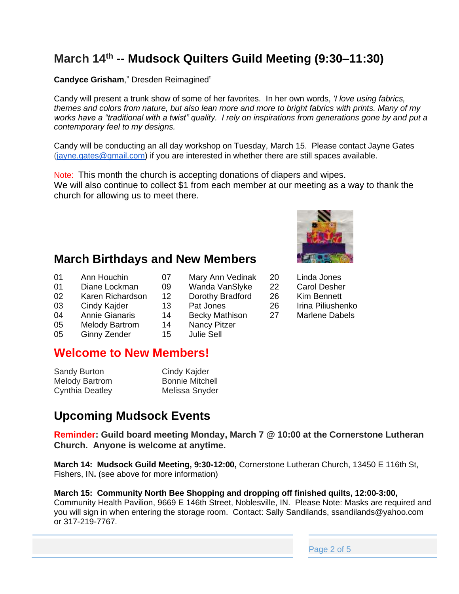# **March 14 th -- Mudsock Quilters Guild Meeting (9:30–11:30)**

**Candyce Grisham**," Dresden Reimagined"

Candy will present a trunk show of some of her favorites. In her own words, *'I love using fabrics, themes and colors from nature, but also lean more and more to bright fabrics with prints. Many of my works have a "traditional with a twist" quality. I rely on inspirations from generations gone by and put a contemporary feel to my designs.*

Candy will be conducting an all day workshop on Tuesday, March 15. Please contact Jayne Gates [\(jayne.gates@gmail.com\)](mailto:jayne.gates@gmail.com) if you are interested in whether there are still spaces available.

Note: This month the church is accepting donations of diapers and wipes. We will also continue to collect \$1 from each member at our meeting as a way to thank the church for allowing us to meet there.

#### **March Birthdays and New Members**

- 01 Ann Houchin 07 Mary Ann Vedinak 20 Linda Jones
- 01 Diane Lockman 09 Wanda VanSlyke 22 Carol Desher
- 02 Karen Richardson 12 Dorothy Bradford 26 Kim Bennett
- 03 Cindy Kajder 13 Pat Jones 26 Irina Piliushenko
- 04 Annie Gianaris 14 Becky Mathison 27 Marlene Dabels
- 05 Melody Bartrom 14 Nancy Pitzer<br>05 Ginny Zender 15 Julie Sell
- 05 Ginny Zender

### **Welcome to New Members!**

| <b>Sandy Burton</b>    | Cindy Kajder           |
|------------------------|------------------------|
| <b>Melody Bartrom</b>  | <b>Bonnie Mitchell</b> |
| <b>Cynthia Deatley</b> | Melissa Snyder         |

#### **Upcoming Mudsock Events**

**Reminder: Guild board meeting Monday, March 7 @ 10:00 at the Cornerstone Lutheran Church. Anyone is welcome at anytime.**

**March 14: Mudsock Guild Meeting, 9:30-12:00,** Cornerstone Lutheran Church, 13450 E 116th St, Fishers, IN**.** (see above for more information)

#### **March 15: Community North Bee Shopping and dropping off finished quilts, 12:00-3:00,**  Community Health Pavilion, 9669 E 146th Street, Noblesville, IN. Please Note: Masks are required and

you will sign in when entering the storage room. Contact: Sally Sandilands, ssandilands@yahoo.com or 317-219-7767.



- 
- 
- 
- 
-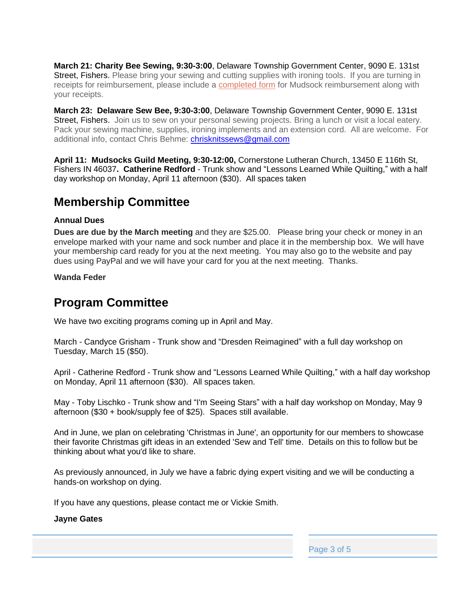**March 21: Charity Bee Sewing, 9:30-3:00**, Delaware Township Government Center, 9090 E. 131st Street, Fishers. Please bring your sewing and cutting supplies with ironing tools. If you are turning in receipts for reimbursement, please include a [completed form](https://mudsockquiltersguild.org/wp-content/uploads/2019/10/expense-reimb-form.pdf) for Mudsock reimbursement along with your receipts.

**March 23: Delaware Sew Bee, 9:30-3:00**, Delaware Township Government Center, 9090 E. 131st Street, Fishers. Join us to sew on your personal sewing projects. Bring a lunch or visit a local eatery. Pack your sewing machine, supplies, ironing implements and an extension cord. All are welcome. For additional info, contact Chris Behme: [chrisknitssews@gmail.com](mailto:chrisknitssews@gmail.com)

**April 11: Mudsocks Guild Meeting, 9:30-12:00,** Cornerstone Lutheran Church, 13450 E 116th St, Fishers IN 46037**. Catherine Redford** - Trunk show and "Lessons Learned While Quilting," with a half day workshop on Monday, April 11 afternoon (\$30). All spaces taken

#### **Membership Committee**

#### **Annual Dues**

**Dues are due by the March meeting** and they are \$25.00. Please bring your check or money in an envelope marked with your name and sock number and place it in the membership box. We will have your membership card ready for you at the next meeting. You may also go to the website and pay dues using PayPal and we will have your card for you at the next meeting. Thanks.

**Wanda Feder**

### **Program Committee**

We have two exciting programs coming up in April and May.

March - Candyce Grisham - Trunk show and "Dresden Reimagined" with a full day workshop on Tuesday, March 15 (\$50).

April - Catherine Redford - Trunk show and "Lessons Learned While Quilting," with a half day workshop on Monday, April 11 afternoon (\$30). All spaces taken.

May - Toby Lischko - Trunk show and "I'm Seeing Stars" with a half day workshop on Monday, May 9 afternoon (\$30 + book/supply fee of \$25). Spaces still available.

And in June, we plan on celebrating 'Christmas in June', an opportunity for our members to showcase their favorite Christmas gift ideas in an extended 'Sew and Tell' time. Details on this to follow but be thinking about what you'd like to share.

As previously announced, in July we have a fabric dying expert visiting and we will be conducting a hands-on workshop on dying.

If you have any questions, please contact me or Vickie Smith.

#### **Jayne Gates**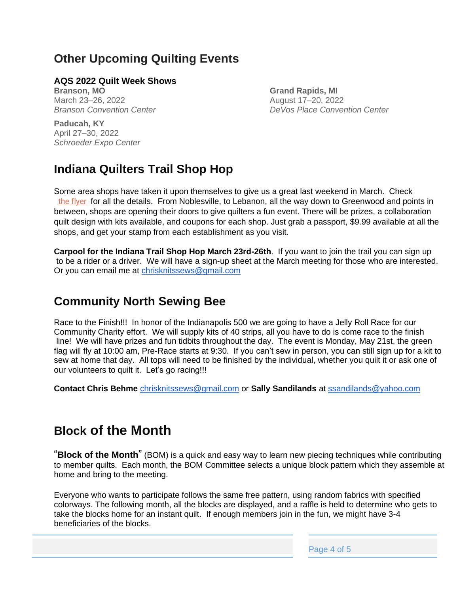# **Other Upcoming Quilting Events**

#### **AQS 2022 Quilt Week Shows**

**Branson, MO** March 23–26, 2022 *Branson Convention Center* **Grand Rapids, MI** August 17–20, 2022 *DeVos Place Convention Center*

**Paducah, KY** April 27–30, 2022 *Schroeder Expo Center*

# **Indiana Quilters Trail Shop Hop**

Some area shops have taken it upon themselves to give us a great last weekend in March. Check [the flyer](https://mudsockquiltersguild.org/wp-content/uploads/2022/01/Quilters-Trail-2022.pdf) for all the details. From Noblesville, to Lebanon, all the way down to Greenwood and points in between, shops are opening their doors to give quilters a fun event. There will be prizes, a collaboration quilt design with kits available, and coupons for each shop. Just grab a passport, \$9.99 available at all the shops, and get your stamp from each establishment as you visit.

**Carpool for the Indiana Trail Shop Hop March 23rd-26th**. If you want to join the trail you can sign up to be a rider or a driver. We will have a sign-up sheet at the March meeting for those who are interested. Or you can email me at [chrisknitssews@gmail.com](mailto:chrisknitssews@gmail.com)

### **Community North Sewing Bee**

Race to the Finish!!! In honor of the Indianapolis 500 we are going to have a Jelly Roll Race for our Community Charity effort. We will supply kits of 40 strips, all you have to do is come race to the finish line! We will have prizes and fun tidbits throughout the day. The event is Monday, May 21st, the green flag will fly at 10:00 am, Pre-Race starts at 9:30. If you can't sew in person, you can still sign up for a kit to sew at home that day. All tops will need to be finished by the individual, whether you quilt it or ask one of our volunteers to quilt it. Let's go racing!!!

**Contact Chris Behme** [chrisknitssews@gmail.com](mailto:chrisknitssews@gmail.com) or **Sally Sandilands** at [ssandilands@yahoo.com](mailto:ssandilands@yahoo.com)

## **Block of the Month**

"**Block of the Month**" (BOM) is a quick and easy way to learn new piecing techniques while contributing to member quilts. Each month, the BOM Committee selects a unique block pattern which they assemble at home and bring to the meeting.

Everyone who wants to participate follows the same free pattern, using random fabrics with specified colorways. The following month, all the blocks are displayed, and a raffle is held to determine who gets to take the blocks home for an instant quilt. If enough members join in the fun, we might have 3-4 beneficiaries of the blocks.

Page 4 of 5